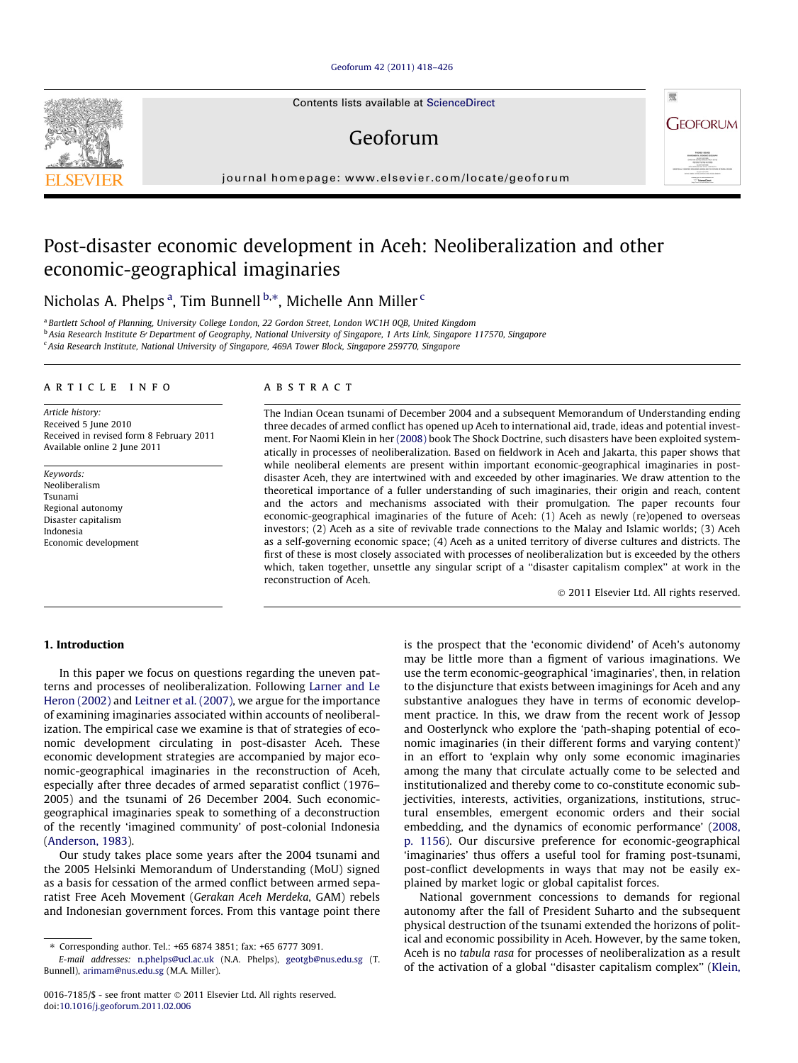## [Geoforum 42 \(2011\) 418–426](http://dx.doi.org/10.1016/j.geoforum.2011.02.006)

Contents lists available at [ScienceDirect](http://www.sciencedirect.com/science/journal/00167185)

# Geoforum

journal homepage: [www.elsevier.com/locate/geoforum](http://www.elsevier.com/locate/geoforum)

# Post-disaster economic development in Aceh: Neoliberalization and other economic-geographical imaginaries

Nicholas A. Phelps <sup>a</sup>, Tim Bunnell <sup>b,</sup>\*, Michelle Ann Miller <sup>c</sup>

<sup>a</sup> Bartlett School of Planning, University College London, 22 Gordon Street, London WC1H 0QB, United Kingdom

<sup>b</sup> Asia Research Institute & Department of Geography, National University of Singapore, 1 Arts Link, Singapore 117570, Singapore <sup>c</sup> Asia Research Institute, National University of Singapore, 469A Tower Block, Singapore 259770, Singapore

article info

Article history: Received 5 June 2010 Received in revised form 8 February 2011 Available online 2 June 2011

Keywords: Neoliberalism Tsunami Regional autonomy Disaster capitalism Indonesia Economic development

## ABSTRACT

The Indian Ocean tsunami of December 2004 and a subsequent Memorandum of Understanding ending three decades of armed conflict has opened up Aceh to international aid, trade, ideas and potential investment. For Naomi Klein in her [\(2008\)](#page--1-0) book The Shock Doctrine, such disasters have been exploited systematically in processes of neoliberalization. Based on fieldwork in Aceh and Jakarta, this paper shows that while neoliberal elements are present within important economic-geographical imaginaries in postdisaster Aceh, they are intertwined with and exceeded by other imaginaries. We draw attention to the theoretical importance of a fuller understanding of such imaginaries, their origin and reach, content and the actors and mechanisms associated with their promulgation. The paper recounts four economic-geographical imaginaries of the future of Aceh: (1) Aceh as newly (re)opened to overseas investors; (2) Aceh as a site of revivable trade connections to the Malay and Islamic worlds; (3) Aceh as a self-governing economic space; (4) Aceh as a united territory of diverse cultures and districts. The first of these is most closely associated with processes of neoliberalization but is exceeded by the others which, taken together, unsettle any singular script of a ''disaster capitalism complex'' at work in the reconstruction of Aceh.

- 2011 Elsevier Ltd. All rights reserved.

#### 1. Introduction

In this paper we focus on questions regarding the uneven patterns and processes of neoliberalization. Following [Larner and Le](#page--1-0) [Heron \(2002\)](#page--1-0) and [Leitner et al. \(2007\),](#page--1-0) we argue for the importance of examining imaginaries associated within accounts of neoliberalization. The empirical case we examine is that of strategies of economic development circulating in post-disaster Aceh. These economic development strategies are accompanied by major economic-geographical imaginaries in the reconstruction of Aceh, especially after three decades of armed separatist conflict (1976– 2005) and the tsunami of 26 December 2004. Such economicgeographical imaginaries speak to something of a deconstruction of the recently 'imagined community' of post-colonial Indonesia ([Anderson, 1983](#page--1-0)).

Our study takes place some years after the 2004 tsunami and the 2005 Helsinki Memorandum of Understanding (MoU) signed as a basis for cessation of the armed conflict between armed separatist Free Aceh Movement (Gerakan Aceh Merdeka, GAM) rebels and Indonesian government forces. From this vantage point there

⇑ Corresponding author. Tel.: +65 6874 3851; fax: +65 6777 3091.

is the prospect that the 'economic dividend' of Aceh's autonomy may be little more than a figment of various imaginations. We use the term economic-geographical 'imaginaries', then, in relation to the disjuncture that exists between imaginings for Aceh and any substantive analogues they have in terms of economic development practice. In this, we draw from the recent work of Jessop and Oosterlynck who explore the 'path-shaping potential of economic imaginaries (in their different forms and varying content)' in an effort to 'explain why only some economic imaginaries among the many that circulate actually come to be selected and institutionalized and thereby come to co-constitute economic subjectivities, interests, activities, organizations, institutions, structural ensembles, emergent economic orders and their social embedding, and the dynamics of economic performance' [\(2008,](#page--1-0) [p. 1156\)](#page--1-0). Our discursive preference for economic-geographical 'imaginaries' thus offers a useful tool for framing post-tsunami, post-conflict developments in ways that may not be easily explained by market logic or global capitalist forces.

National government concessions to demands for regional autonomy after the fall of President Suharto and the subsequent physical destruction of the tsunami extended the horizons of political and economic possibility in Aceh. However, by the same token, Aceh is no tabula rasa for processes of neoliberalization as a result of the activation of a global ''disaster capitalism complex'' [\(Klein,](#page--1-0)





E-mail addresses: [n.phelps@ucl.ac.uk](mailto:n.phelps@ucl.ac.uk) (N.A. Phelps), [geotgb@nus.edu.sg](mailto:geotgb@nus.edu.sg) (T. Bunnell), [arimam@nus.edu.sg](mailto:arimam@nus.edu.sg) (M.A. Miller).

<sup>0016-7185/\$ -</sup> see front matter © 2011 Elsevier Ltd. All rights reserved. doi:[10.1016/j.geoforum.2011.02.006](http://dx.doi.org/10.1016/j.geoforum.2011.02.006)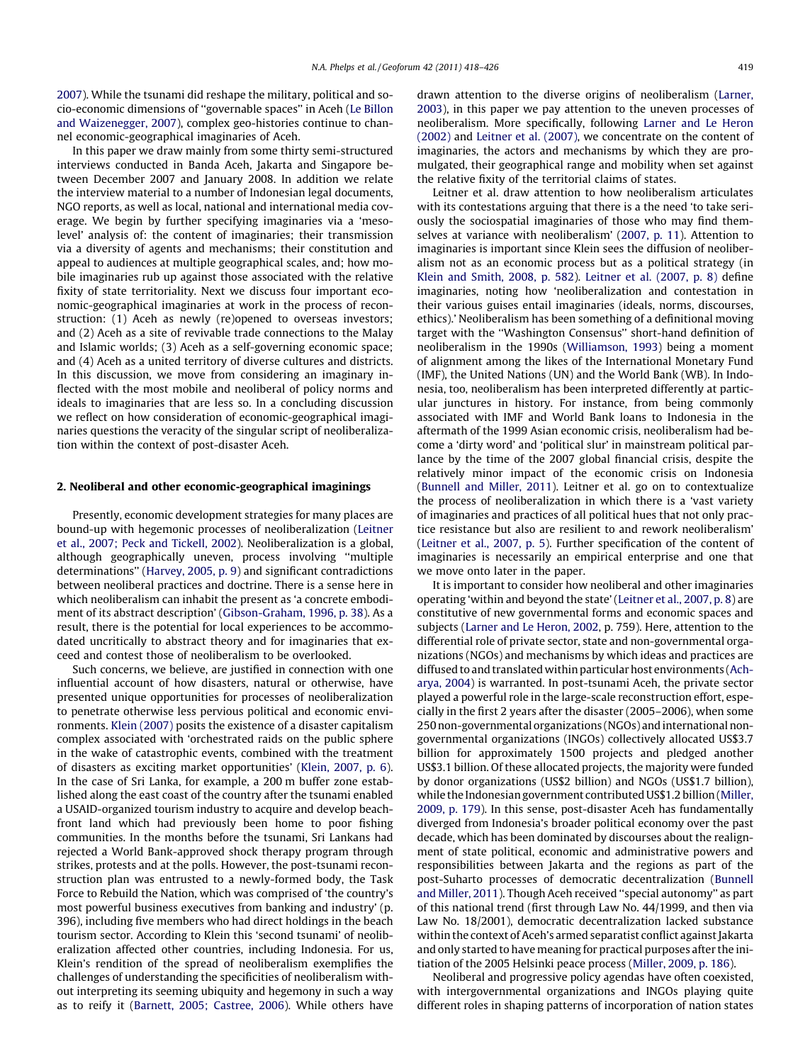[2007](#page--1-0)). While the tsunami did reshape the military, political and socio-economic dimensions of ''governable spaces'' in Aceh [\(Le Billon](#page--1-0) [and Waizenegger, 2007\)](#page--1-0), complex geo-histories continue to channel economic-geographical imaginaries of Aceh.

In this paper we draw mainly from some thirty semi-structured interviews conducted in Banda Aceh, Jakarta and Singapore between December 2007 and January 2008. In addition we relate the interview material to a number of Indonesian legal documents, NGO reports, as well as local, national and international media coverage. We begin by further specifying imaginaries via a 'mesolevel' analysis of: the content of imaginaries; their transmission via a diversity of agents and mechanisms; their constitution and appeal to audiences at multiple geographical scales, and; how mobile imaginaries rub up against those associated with the relative fixity of state territoriality. Next we discuss four important economic-geographical imaginaries at work in the process of reconstruction: (1) Aceh as newly (re)opened to overseas investors; and (2) Aceh as a site of revivable trade connections to the Malay and Islamic worlds; (3) Aceh as a self-governing economic space; and (4) Aceh as a united territory of diverse cultures and districts. In this discussion, we move from considering an imaginary inflected with the most mobile and neoliberal of policy norms and ideals to imaginaries that are less so. In a concluding discussion we reflect on how consideration of economic-geographical imaginaries questions the veracity of the singular script of neoliberalization within the context of post-disaster Aceh.

#### 2. Neoliberal and other economic-geographical imaginings

Presently, economic development strategies for many places are bound-up with hegemonic processes of neoliberalization [\(Leitner](#page--1-0) [et al., 2007; Peck and Tickell, 2002\)](#page--1-0). Neoliberalization is a global, although geographically uneven, process involving ''multiple determinations'' [\(Harvey, 2005, p. 9\)](#page--1-0) and significant contradictions between neoliberal practices and doctrine. There is a sense here in which neoliberalism can inhabit the present as 'a concrete embodiment of its abstract description' ([Gibson-Graham, 1996, p. 38](#page--1-0)). As a result, there is the potential for local experiences to be accommodated uncritically to abstract theory and for imaginaries that exceed and contest those of neoliberalism to be overlooked.

Such concerns, we believe, are justified in connection with one influential account of how disasters, natural or otherwise, have presented unique opportunities for processes of neoliberalization to penetrate otherwise less pervious political and economic environments. [Klein \(2007\)](#page--1-0) posits the existence of a disaster capitalism complex associated with 'orchestrated raids on the public sphere in the wake of catastrophic events, combined with the treatment of disasters as exciting market opportunities' ([Klein, 2007, p. 6\)](#page--1-0). In the case of Sri Lanka, for example, a 200 m buffer zone established along the east coast of the country after the tsunami enabled a USAID-organized tourism industry to acquire and develop beachfront land which had previously been home to poor fishing communities. In the months before the tsunami, Sri Lankans had rejected a World Bank-approved shock therapy program through strikes, protests and at the polls. However, the post-tsunami reconstruction plan was entrusted to a newly-formed body, the Task Force to Rebuild the Nation, which was comprised of 'the country's most powerful business executives from banking and industry' (p. 396), including five members who had direct holdings in the beach tourism sector. According to Klein this 'second tsunami' of neoliberalization affected other countries, including Indonesia. For us, Klein's rendition of the spread of neoliberalism exemplifies the challenges of understanding the specificities of neoliberalism without interpreting its seeming ubiquity and hegemony in such a way as to reify it [\(Barnett, 2005; Castree, 2006](#page--1-0)). While others have drawn attention to the diverse origins of neoliberalism ([Larner,](#page--1-0) [2003](#page--1-0)), in this paper we pay attention to the uneven processes of neoliberalism. More specifically, following [Larner and Le Heron](#page--1-0) [\(2002\)](#page--1-0) and [Leitner et al. \(2007\)](#page--1-0), we concentrate on the content of imaginaries, the actors and mechanisms by which they are promulgated, their geographical range and mobility when set against the relative fixity of the territorial claims of states.

Leitner et al. draw attention to how neoliberalism articulates with its contestations arguing that there is a the need 'to take seriously the sociospatial imaginaries of those who may find themselves at variance with neoliberalism' ([2007, p. 11\)](#page--1-0). Attention to imaginaries is important since Klein sees the diffusion of neoliberalism not as an economic process but as a political strategy (in [Klein and Smith, 2008, p. 582\)](#page--1-0). [Leitner et al. \(2007, p. 8\)](#page--1-0) define imaginaries, noting how 'neoliberalization and contestation in their various guises entail imaginaries (ideals, norms, discourses, ethics).' Neoliberalism has been something of a definitional moving target with the ''Washington Consensus'' short-hand definition of neoliberalism in the 1990s [\(Williamson, 1993](#page--1-0)) being a moment of alignment among the likes of the International Monetary Fund (IMF), the United Nations (UN) and the World Bank (WB). In Indonesia, too, neoliberalism has been interpreted differently at particular junctures in history. For instance, from being commonly associated with IMF and World Bank loans to Indonesia in the aftermath of the 1999 Asian economic crisis, neoliberalism had become a 'dirty word' and 'political slur' in mainstream political parlance by the time of the 2007 global financial crisis, despite the relatively minor impact of the economic crisis on Indonesia ([Bunnell and Miller, 2011](#page--1-0)). Leitner et al. go on to contextualize the process of neoliberalization in which there is a 'vast variety of imaginaries and practices of all political hues that not only practice resistance but also are resilient to and rework neoliberalism' ([Leitner et al., 2007, p. 5](#page--1-0)). Further specification of the content of imaginaries is necessarily an empirical enterprise and one that we move onto later in the paper.

It is important to consider how neoliberal and other imaginaries operating 'within and beyond the state' ([Leitner et al., 2007, p. 8](#page--1-0)) are constitutive of new governmental forms and economic spaces and subjects ([Larner and Le Heron, 2002,](#page--1-0) p. 759). Here, attention to the differential role of private sector, state and non-governmental organizations (NGOs) and mechanisms by which ideas and practices are diffused to and translated within particular host environments [\(Ach](#page--1-0)[arya, 2004](#page--1-0)) is warranted. In post-tsunami Aceh, the private sector played a powerful role in the large-scale reconstruction effort, especially in the first 2 years after the disaster (2005–2006), when some 250 non-governmental organizations (NGOs) and international nongovernmental organizations (INGOs) collectively allocated US\$3.7 billion for approximately 1500 projects and pledged another US\$3.1 billion. Of these allocated projects, the majority were funded by donor organizations (US\$2 billion) and NGOs (US\$1.7 billion), while the Indonesian government contributed US\$1.2 billion [\(Miller,](#page--1-0) [2009, p. 179\)](#page--1-0). In this sense, post-disaster Aceh has fundamentally diverged from Indonesia's broader political economy over the past decade, which has been dominated by discourses about the realignment of state political, economic and administrative powers and responsibilities between Jakarta and the regions as part of the post-Suharto processes of democratic decentralization ([Bunnell](#page--1-0) [and Miller, 2011](#page--1-0)). Though Aceh received ''special autonomy'' as part of this national trend (first through Law No. 44/1999, and then via Law No. 18/2001), democratic decentralization lacked substance within the context of Aceh's armed separatist conflict against Jakarta and only started to have meaning for practical purposes after the initiation of the 2005 Helsinki peace process [\(Miller, 2009, p. 186\)](#page--1-0).

Neoliberal and progressive policy agendas have often coexisted, with intergovernmental organizations and INGOs playing quite different roles in shaping patterns of incorporation of nation states